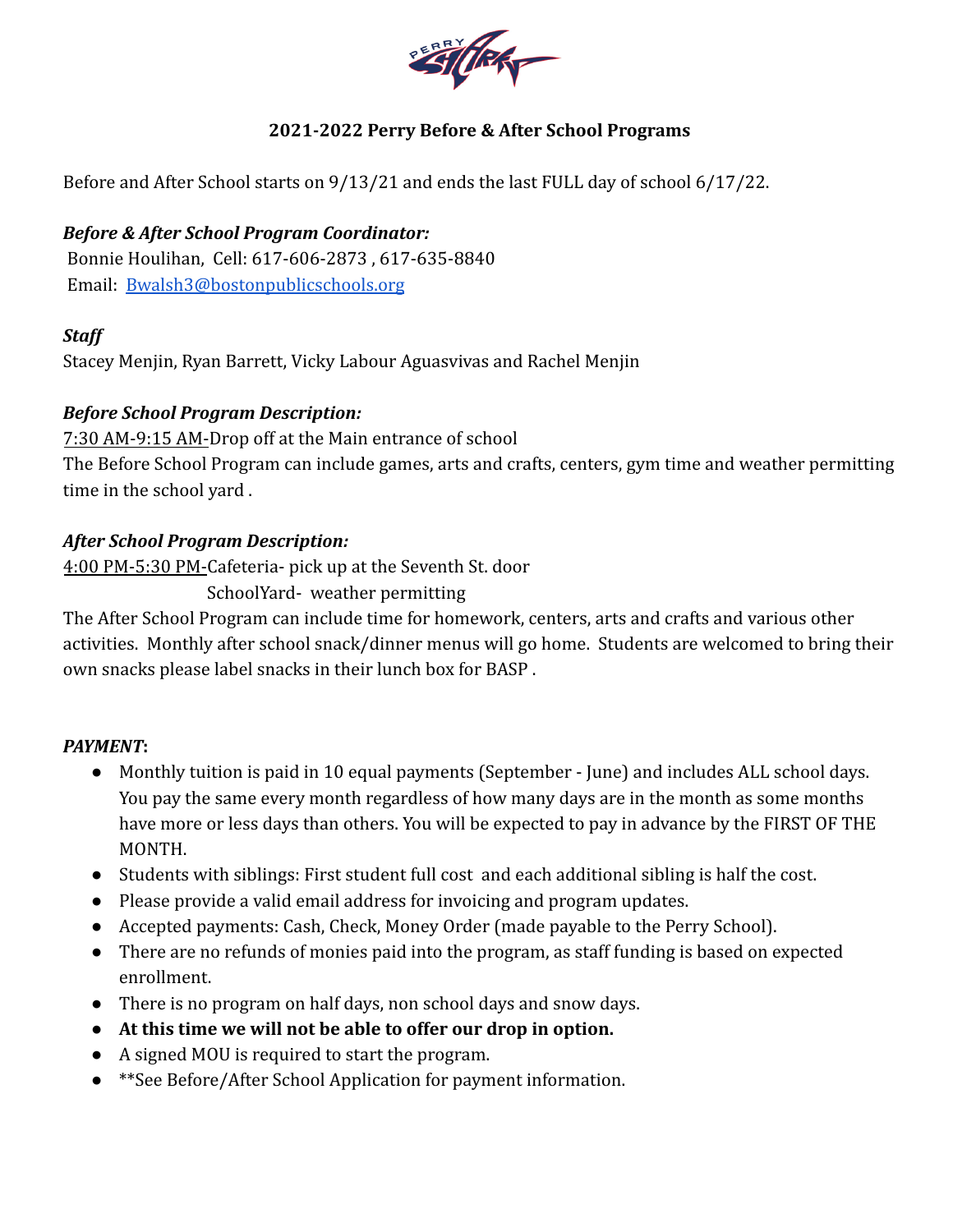

# **2021-2022 Perry Before & After School Programs**

Before and After School starts on 9/13/21 and ends the last FULL day of school 6/17/22.

## *Before & After School Program Coordinator:*

Bonnie Houlihan, Cell: 617-606-2873 , 617-635-8840 Email: [Bwalsh3@bostonpublicschools.org](mailto:Bwalsh3@bostonpublicschools.org)

### *Staff*

Stacey Menjin, Ryan Barrett, Vicky Labour Aguasvivas and Rachel Menjin

### *Before School Program Description:*

7:30 AM-9:15 AM-Drop off at the Main entrance of school The Before School Program can include games, arts and crafts, centers, gym time and weather permitting time in the school yard .

### *After School Program Description:*

4:00 PM-5:30 PM-Cafeteria- pick up at the Seventh St. door

SchoolYard- weather permitting

The After School Program can include time for homework, centers, arts and crafts and various other activities. Monthly after school snack/dinner menus will go home. Students are welcomed to bring their own snacks please label snacks in their lunch box for BASP .

#### *PAYMENT***:**

- Monthly tuition is paid in 10 equal payments (September June) and includes ALL school days. You pay the same every month regardless of how many days are in the month as some months have more or less days than others. You will be expected to pay in advance by the FIRST OF THE MONTH.
- Students with siblings: First student full cost and each additional sibling is half the cost.
- Please provide a valid email address for invoicing and program updates.
- Accepted payments: Cash, Check, Money Order (made payable to the Perry School).
- There are no refunds of monies paid into the program, as staff funding is based on expected enrollment.
- There is no program on half days, non school days and snow days.
- **At this time we will not be able to offer our drop in option.**
- A signed MOU is required to start the program.
- **\*\*See Before/After School Application for payment information.**